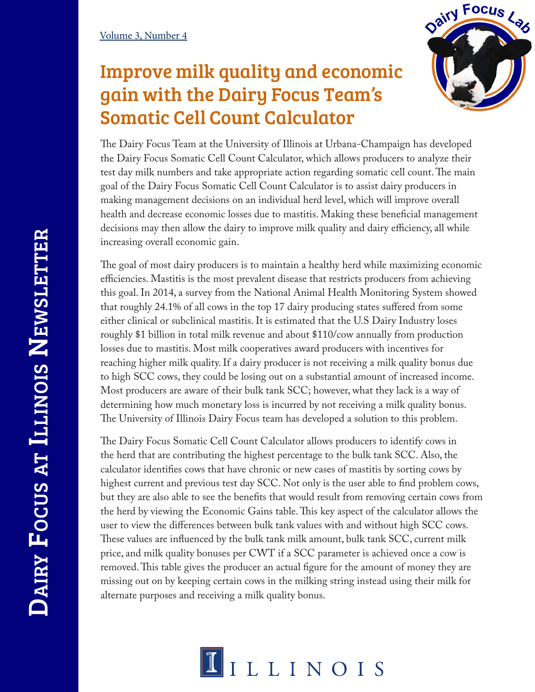## Improve milk quality and economic gain with the Dairy Focus Team's Somatic Cell Count Calculator



The Dairy Focus Team at the University of Illinois at Urbana-Champaign has developed the Dairy Focus Somatic Cell Count Calculator, which allows producers to analyze their test day milk numbers and take appropriate action regarding somatic cell count. The main goal of the Dairy Focus Somatic Cell Count Calculator is to assist dairy producers in making management decisions on an individual herd level, which will improve overall health and decrease economic losses due to mastitis. Making these beneficial management decisions may then allow the dairy to improve milk quality and dairy efficiency, all while increasing overall economic gain.

The goal of most dairy producers is to maintain a healthy herd while maximizing economic efficiencies. Mastitis is the most prevalent disease that restricts producers from achieving this goal. In 2014, a survey from the National Animal Health Monitoring System showed that roughly 24.1% of all cows in the top 17 dairy producing states suffered from some either clinical or subclinical mastitis. It is estimated that the U.S Dairy Industry loses roughly \$1 billion in total milk revenue and about \$110/cow annually from production losses due to mastitis. Most milk cooperatives award producers with incentives for reaching higher milk quality. If a dairy producer is not receiving a milk quality bonus due to high SCC cows, they could be losing out on a substantial amount of increased income. Most producers are aware of their bulk tank SCC; however, what they lack is a way of determining how much monetary loss is incurred by not receiving a milk quality bonus. The University of Illinois Dairy Focus team has developed a solution to this problem.

The Dairy Focus Somatic Cell Count Calculator allows producers to identify cows in the herd that are contributing the highest percentage to the bulk tank SCC. Also, the calculator identifies cows that have chronic or new cases of mastitis by sorting cows by highest current and previous test day SCC. Not only is the user able to find problem cows, but they are also able to see the benefits that would result from removing certain cows from the herd by viewing the Economic Gains table. This key aspect of the calculator allows the user to view the differences between bulk tank values with and without high SCC cows. These values are influenced by the bulk tank milk amount, bulk tank SCC, current milk price, and milk quality bonuses per CWT if a SCC parameter is achieved once a cow is removed. This table gives the producer an actual figure for the amount of money they are missing out on by keeping certain cows in the milking string instead using their milk for alternate purposes and receiving a milk quality bonus.